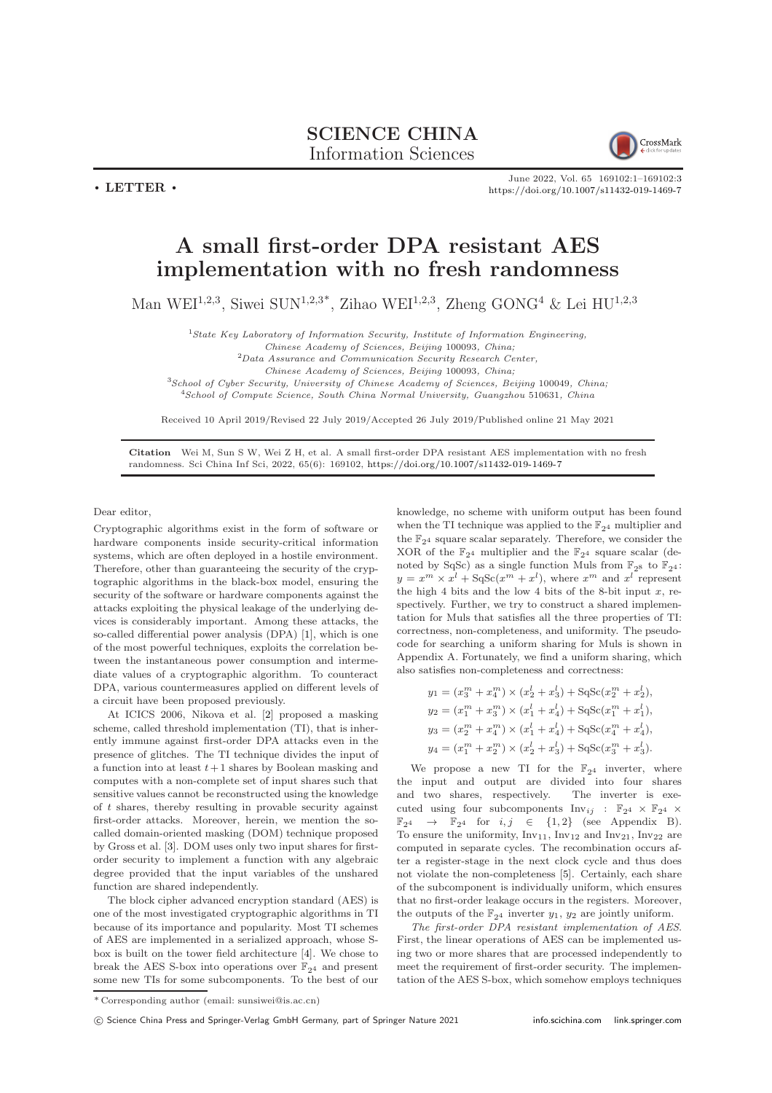## SCIENCE CHINA Information Sciences

CrossMark

June 2022, Vol. 65 169102:1–169102[:3](#page-2-0) <https://doi.org/10.1007/s11432-019-1469-7>

## A small first-order DPA resistant AES implementation with no fresh randomness

Man WEI<sup>1,2,3</sup>, Siwei SUN<sup>1,2,3\*</sup>, Zihao WEI<sup>1,2,3</sup>, Zheng GONG<sup>4</sup> & Lei HU<sup>1,2,3</sup>

 $1$ State Key Laboratory of Information Security, Institute of Information Engineering,

Chinese Academy of Sciences, Beijing 100093, China;

<sup>2</sup>Data Assurance and Communication Security Research Center,

Chinese Academy of Sciences, Beijing 100093, China;

<sup>3</sup>School of Cyber Security, University of Chinese Academy of Sciences, Beijing 100049, China; <sup>4</sup>School of Compute Science, South China Normal University, Guangzhou 510631, China

Received 10 April 2019/Revised 22 July 2019/Accepted 26 July 2019/Published online 21 May 2021

Citation Wei M, Sun S W, Wei Z H, et al. A small first-order DPA resistant AES implementation with no fresh randomness. Sci China Inf Sci, 2022, 65(6): 169102, <https://doi.org/10.1007/s11432-019-1469-7>

Dear editor,

 $\cdot$  LETTER  $\cdot$ 

Cryptographic algorithms exist in the form of software or hardware components inside security-critical information systems, which are often deployed in a hostile environment. Therefore, other than guaranteeing the security of the cryptographic algorithms in the black-box model, ensuring the security of the software or hardware components against the attacks exploiting the physical leakage of the underlying devices is considerably important. Among these attacks, the so-called differential power analysis (DPA) [\[1\]](#page-2-1), which is one of the most powerful techniques, exploits the correlation between the instantaneous power consumption and intermediate values of a cryptographic algorithm. To counteract DPA, various countermeasures applied on different levels of a circuit have been proposed previously.

At ICICS 2006, Nikova et al. [\[2\]](#page-2-2) proposed a masking scheme, called threshold implementation (TI), that is inherently immune against first-order DPA attacks even in the presence of glitches. The TI technique divides the input of a function into at least  $t+1$  shares by Boolean masking and computes with a non-complete set of input shares such that sensitive values cannot be reconstructed using the knowledge of t shares, thereby resulting in provable security against first-order attacks. Moreover, herein, we mention the socalled domain-oriented masking (DOM) technique proposed by Gross et al. [\[3\]](#page-2-3). DOM uses only two input shares for firstorder security to implement a function with any algebraic degree provided that the input variables of the unshared function are shared independently.

The block cipher advanced encryption standard (AES) is one of the most investigated cryptographic algorithms in TI because of its importance and popularity. Most TI schemes of AES are implemented in a serialized approach, whose Sbox is built on the tower field architecture [\[4\]](#page-2-4). We chose to break the AES S-box into operations over  $\mathbb{F}_{2^4}$  and present some new TIs for some subcomponents. To the best of our

knowledge, no scheme with uniform output has been found when the TI technique was applied to the  $\mathbb{F}_{24}$  multiplier and the  $\mathbb{F}_{24}$  square scalar separately. Therefore, we consider the XOR of the  $\mathbb{F}_{2^4}$  multiplier and the  $\mathbb{F}_{2^4}$  square scalar (denoted by SqSc) as a single function Muls from  $\mathbb{F}_{28}$  to  $\mathbb{F}_{24}$ :  $y = x^m \times x^l + S q S c (x^m + x^l)$ , where  $x^m$  and  $x^l$  represent the high 4 bits and the low 4 bits of the 8-bit input  $x$ , respectively. Further, we try to construct a shared implementation for Muls that satisfies all the three properties of TI: correctness, non-completeness, and uniformity. The pseudocode for searching a uniform sharing for Muls is shown in Appendix A. Fortunately, we find a uniform sharing, which also satisfies non-completeness and correctness:

$$
y_1 = (x_3^m + x_4^m) \times (x_2^l + x_3^l) + \text{SqSc}(x_2^m + x_2^l),
$$
  
\n
$$
y_2 = (x_1^m + x_3^m) \times (x_1^l + x_4^l) + \text{SqSc}(x_1^m + x_1^l),
$$
  
\n
$$
y_3 = (x_2^m + x_4^m) \times (x_1^l + x_4^l) + \text{SqSc}(x_4^m + x_4^l),
$$
  
\n
$$
y_4 = (x_1^m + x_2^m) \times (x_2^l + x_3^l) + \text{SqSc}(x_3^m + x_3^l).
$$

We propose a new TI for the  $\mathbb{F}_{2^4}$  inverter, where the input and output are divided into four shares and two shares, respectively. The inverter is executed using four subcomponents  $\text{Inv}_{ij}$  :  $\mathbb{F}_{2^4} \times \mathbb{F}_{2^4}$   $\times$  $\mathbb{F}_{2^4} \rightarrow \mathbb{F}_{2^4}$  for  $i, j \in \{1, 2\}$  (see Appendix B). To ensure the uniformity,  $Inv_{11}$ ,  $Inv_{12}$  and  $Inv_{21}$ ,  $Inv_{22}$  are computed in separate cycles. The recombination occurs after a register-stage in the next clock cycle and thus does not violate the non-completeness [\[5\]](#page-2-5). Certainly, each share of the subcomponent is individually uniform, which ensures that no first-order leakage occurs in the registers. Moreover, the outputs of the  $\mathbb{F}_{2^4}$  inverter  $y_1, y_2$  are jointly uniform.

The first-order DPA resistant implementation of AES. First, the linear operations of AES can be implemented using two or more shares that are processed independently to meet the requirement of first-order security. The implementation of the AES S-box, which somehow employs techniques

<sup>\*</sup> Corresponding author (email: sunsiwei@is.ac.cn)

<sup>(</sup>C) Science China Press and Springer-Verlag GmbH Germany, part of Springer Nature 2021 <info.scichina.com><link.springer.com>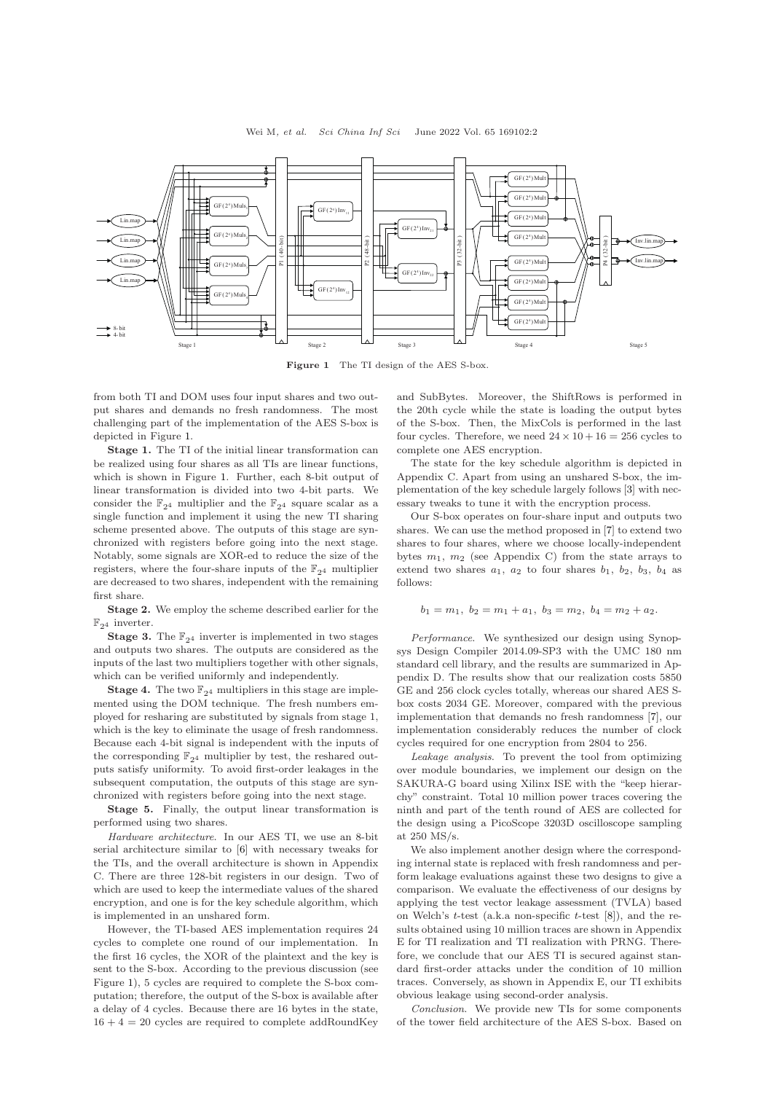<span id="page-1-0"></span>

Figure 1 The TI design of the AES S-box.

from both TI and DOM uses four input shares and two output shares and demands no fresh randomness. The most challenging part of the implementation of the AES S-box is depicted in Figure [1.](#page-1-0)

Stage 1. The TI of the initial linear transformation can be realized using four shares as all TIs are linear functions, which is shown in Figure [1.](#page-1-0) Further, each 8-bit output of linear transformation is divided into two 4-bit parts. We consider the  $\mathbb{F}_{2^4}$  multiplier and the  $\mathbb{F}_{2^4}$  square scalar as a single function and implement it using the new TI sharing scheme presented above. The outputs of this stage are synchronized with registers before going into the next stage. Notably, some signals are XOR-ed to reduce the size of the registers, where the four-share inputs of the  $\mathbb{F}_{24}$  multiplier are decreased to two shares, independent with the remaining first share.

Stage 2. We employ the scheme described earlier for the  $\mathbb{F}_{2^4}$  inverter.

**Stage 3.** The  $\mathbb{F}_{24}$  inverter is implemented in two stages and outputs two shares. The outputs are considered as the inputs of the last two multipliers together with other signals, which can be verified uniformly and independently.

**Stage 4.** The two  $\mathbb{F}_{24}$  multipliers in this stage are implemented using the DOM technique. The fresh numbers employed for resharing are substituted by signals from stage 1, which is the key to eliminate the usage of fresh randomness. Because each 4-bit signal is independent with the inputs of the corresponding  $\mathbb{F}_{2^4}$  multiplier by test, the reshared outputs satisfy uniformity. To avoid first-order leakages in the subsequent computation, the outputs of this stage are synchronized with registers before going into the next stage.

Stage 5. Finally, the output linear transformation is performed using two shares.

Hardware architecture. In our AES TI, we use an 8-bit serial architecture similar to [\[6\]](#page-2-6) with necessary tweaks for the TIs, and the overall architecture is shown in Appendix C. There are three 128-bit registers in our design. Two of which are used to keep the intermediate values of the shared encryption, and one is for the key schedule algorithm, which is implemented in an unshared form.

However, the TI-based AES implementation requires 24 cycles to complete one round of our implementation. In the first 16 cycles, the XOR of the plaintext and the key is sent to the S-box. According to the previous discussion (see Figure [1\)](#page-1-0), 5 cycles are required to complete the S-box computation; therefore, the output of the S-box is available after a delay of 4 cycles. Because there are 16 bytes in the state,  $16 + 4 = 20$  cycles are required to complete addRoundKey

and SubBytes. Moreover, the ShiftRows is performed in the 20th cycle while the state is loading the output bytes of the S-box. Then, the MixCols is performed in the last four cycles. Therefore, we need  $24 \times 10 + 16 = 256$  cycles to complete one AES encryption.

The state for the key schedule algorithm is depicted in Appendix C. Apart from using an unshared S-box, the implementation of the key schedule largely follows [\[3\]](#page-2-3) with necessary tweaks to tune it with the encryption process.

Our S-box operates on four-share input and outputs two shares. We can use the method proposed in [\[7\]](#page-2-7) to extend two shares to four shares, where we choose locally-independent bytes  $m_1$ ,  $m_2$  (see Appendix C) from the state arrays to extend two shares  $a_1$ ,  $a_2$  to four shares  $b_1$ ,  $b_2$ ,  $b_3$ ,  $b_4$  as follows:

$$
b_1 = m_1, b_2 = m_1 + a_1, b_3 = m_2, b_4 = m_2 + a_2.
$$

Performance. We synthesized our design using Synopsys Design Compiler 2014.09-SP3 with the UMC 180 nm standard cell library, and the results are summarized in Appendix D. The results show that our realization costs 5850 GE and 256 clock cycles totally, whereas our shared AES Sbox costs 2034 GE. Moreover, compared with the previous implementation that demands no fresh randomness [\[7\]](#page-2-7), our implementation considerably reduces the number of clock cycles required for one encryption from 2804 to 256.

Leakage analysis. To prevent the tool from optimizing over module boundaries, we implement our design on the SAKURA-G board using Xilinx ISE with the "keep hierarchy" constraint. Total 10 million power traces covering the ninth and part of the tenth round of AES are collected for the design using a PicoScope 3203D oscilloscope sampling at 250 MS/s.

We also implement another design where the corresponding internal state is replaced with fresh randomness and perform leakage evaluations against these two designs to give a comparison. We evaluate the effectiveness of our designs by applying the test vector leakage assessment (TVLA) based on Welch's  $t$ -test (a.k.a non-specific  $t$ -test  $[8]$ ), and the results obtained using 10 million traces are shown in Appendix E for TI realization and TI realization with PRNG. Therefore, we conclude that our AES TI is secured against standard first-order attacks under the condition of 10 million traces. Conversely, as shown in Appendix E, our TI exhibits obvious leakage using second-order analysis.

Conclusion. We provide new TIs for some components of the tower field architecture of the AES S-box. Based on